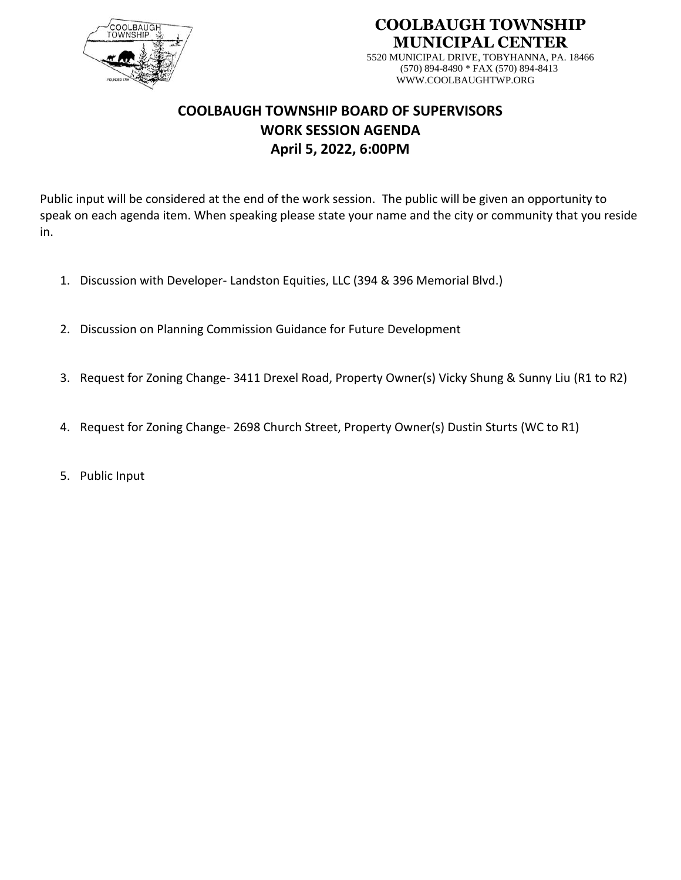

**COOLBAUGH TOWNSHIP MUNICIPAL CENTER**

> 5520 MUNICIPAL DRIVE, TOBYHANNA, PA. 18466 (570) 894-8490 \* FAX (570) 894-8413 WWW.COOLBAUGHTWP.ORG

# **COOLBAUGH TOWNSHIP BOARD OF SUPERVISORS WORK SESSION AGENDA April 5, 2022, 6:00PM**

Public input will be considered at the end of the work session. The public will be given an opportunity to speak on each agenda item. When speaking please state your name and the city or community that you reside in.

- 1. Discussion with Developer- Landston Equities, LLC (394 & 396 Memorial Blvd.)
- 2. Discussion on Planning Commission Guidance for Future Development
- 3. Request for Zoning Change- 3411 Drexel Road, Property Owner(s) Vicky Shung & Sunny Liu (R1 to R2)
- 4. Request for Zoning Change- 2698 Church Street, Property Owner(s) Dustin Sturts (WC to R1)
- 5. Public Input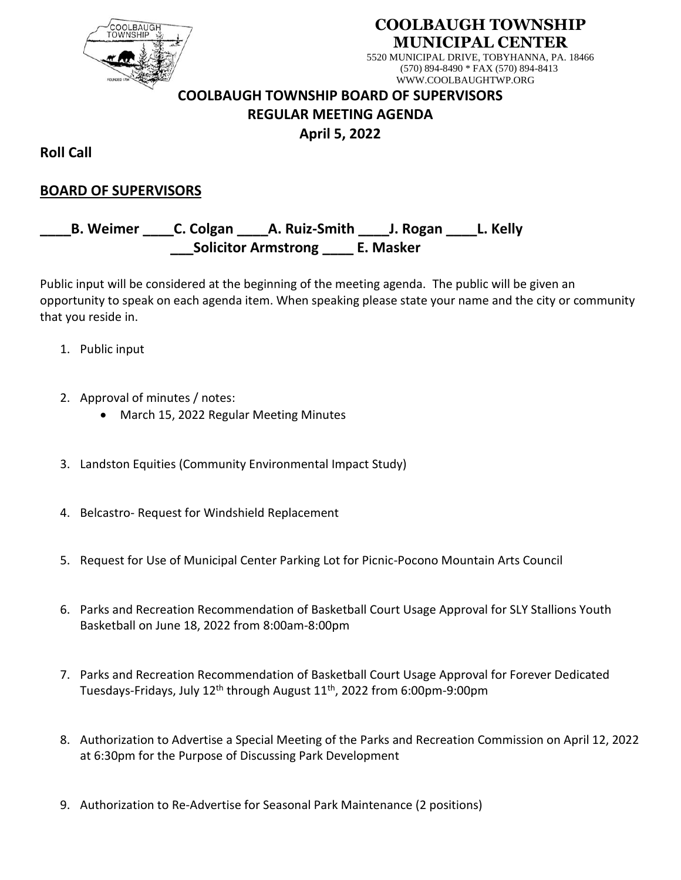

# **COOLBAUGH TOWNSHIP MUNICIPAL CENTER**

5520 MUNICIPAL DRIVE, TOBYHANNA, PA. 18466 (570) 894-8490 \* FAX (570) 894-8413 WWW.COOLBAUGHTWP.ORG

# **COOLBAUGH TOWNSHIP BOARD OF SUPERVISORS REGULAR MEETING AGENDA April 5, 2022**

**Roll Call**

# **BOARD OF SUPERVISORS**

# **\_\_\_\_B. Weimer \_\_\_\_C. Colgan \_\_\_\_A. Ruiz-Smith \_\_\_\_J. Rogan \_\_\_\_L. Kelly \_\_\_Solicitor Armstrong \_\_\_\_ E. Masker**

Public input will be considered at the beginning of the meeting agenda. The public will be given an opportunity to speak on each agenda item. When speaking please state your name and the city or community that you reside in.

- 1. Public input
- 2. Approval of minutes / notes:
	- March 15, 2022 Regular Meeting Minutes
- 3. Landston Equities (Community Environmental Impact Study)
- 4. Belcastro- Request for Windshield Replacement
- 5. Request for Use of Municipal Center Parking Lot for Picnic-Pocono Mountain Arts Council
- 6. Parks and Recreation Recommendation of Basketball Court Usage Approval for SLY Stallions Youth Basketball on June 18, 2022 from 8:00am-8:00pm
- 7. Parks and Recreation Recommendation of Basketball Court Usage Approval for Forever Dedicated Tuesdays-Fridays, July 12<sup>th</sup> through August 11<sup>th</sup>, 2022 from 6:00pm-9:00pm
- 8. Authorization to Advertise a Special Meeting of the Parks and Recreation Commission on April 12, 2022 at 6:30pm for the Purpose of Discussing Park Development
- 9. Authorization to Re-Advertise for Seasonal Park Maintenance (2 positions)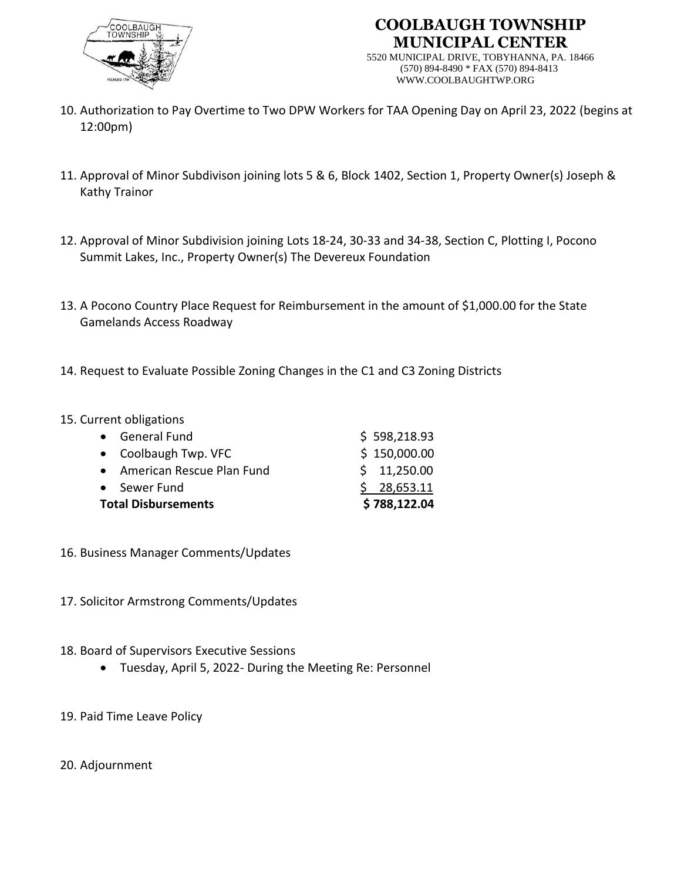



5520 MUNICIPAL DRIVE, TOBYHANNA, PA. 18466 (570) 894-8490 \* FAX (570) 894-8413 WWW.COOLBAUGHTWP.ORG

- 10. Authorization to Pay Overtime to Two DPW Workers for TAA Opening Day on April 23, 2022 (begins at 12:00pm)
- 11. Approval of Minor Subdivison joining lots 5 & 6, Block 1402, Section 1, Property Owner(s) Joseph & Kathy Trainor
- 12. Approval of Minor Subdivision joining Lots 18-24, 30-33 and 34-38, Section C, Plotting I, Pocono Summit Lakes, Inc., Property Owner(s) The Devereux Foundation
- 13. A Pocono Country Place Request for Reimbursement in the amount of \$1,000.00 for the State Gamelands Access Roadway
- 14. Request to Evaluate Possible Zoning Changes in the C1 and C3 Zoning Districts
- 15. Current obligations

| <b>Total Disbursements</b>  | \$788,122.04 |
|-----------------------------|--------------|
| • Sewer Fund                | \$28,653.11  |
| • American Rescue Plan Fund | \$11,250.00  |
| • Coolbaugh Twp. VFC        | \$150,000.00 |
| • General Fund              | \$598,218.93 |

- 16. Business Manager Comments/Updates
- 17. Solicitor Armstrong Comments/Updates
- 18. Board of Supervisors Executive Sessions
	- Tuesday, April 5, 2022- During the Meeting Re: Personnel
- 19. Paid Time Leave Policy
- 20. Adjournment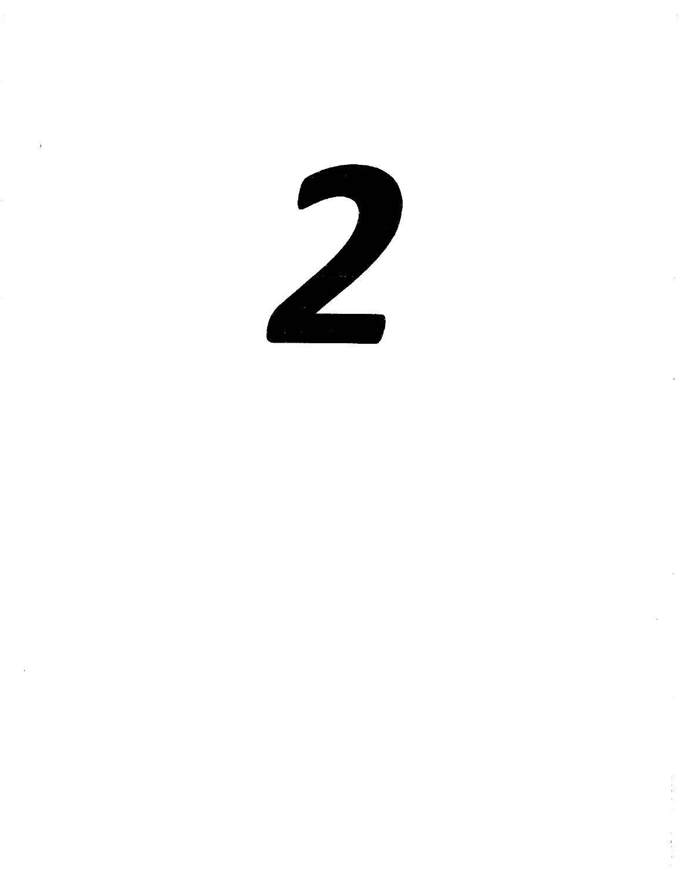

 $\frac{1}{2}$  , and  $\frac{1}{2}$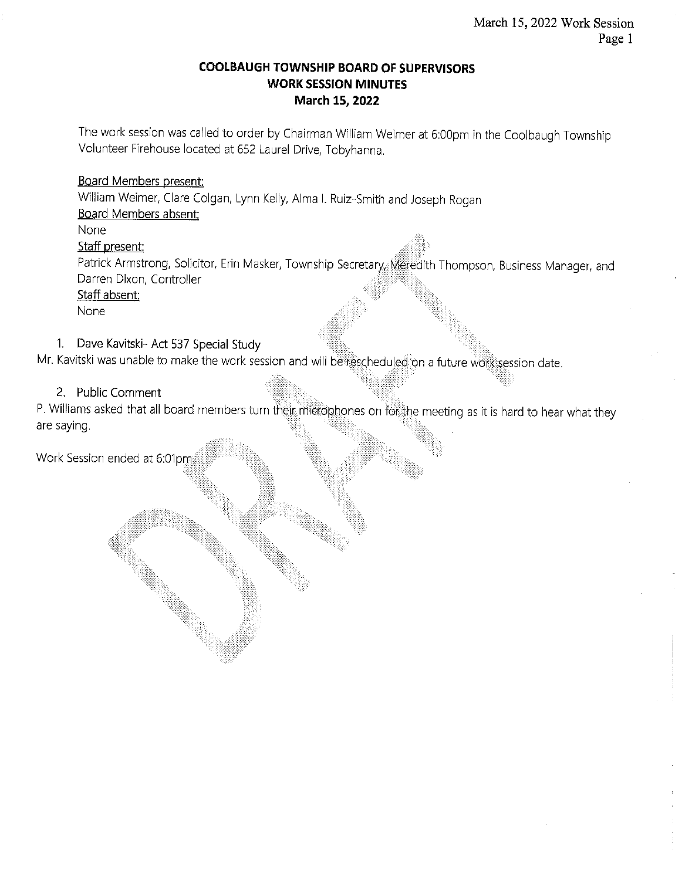# **COOLBAUGH TOWNSHIP BOARD OF SUPERVISORS WORK SESSION MINUTES** March 15, 2022

The work session was called to order by Chairman William Weimer at 6:00pm in the Coolbaugh Township Volunteer Firehouse located at 652 Laurel Drive, Tobyhanna.

## **Board Members present:**

William Weimer, Clare Colgan, Lynn Kelly, Alma I. Ruiz-Smith and Joseph Rogan

Board Members absent:

None

Staff present:

Patrick Armstrong, Solicitor, Erin Masker, Township Secretary, Meredith Thompson, Business Manager, and Darren Dixon, Controller

Staff absent:

None

# 1. Dave Kavitski- Act 537 Special Study

Mr. Kavitski was unable to make the work session and will be rescheduled on a future works session date.

# 2. Public Comment

P. Williams asked that all board members turn their microphones on for the meeting as it is hard to hear what they are saying.

Work Session ended at 6:01pm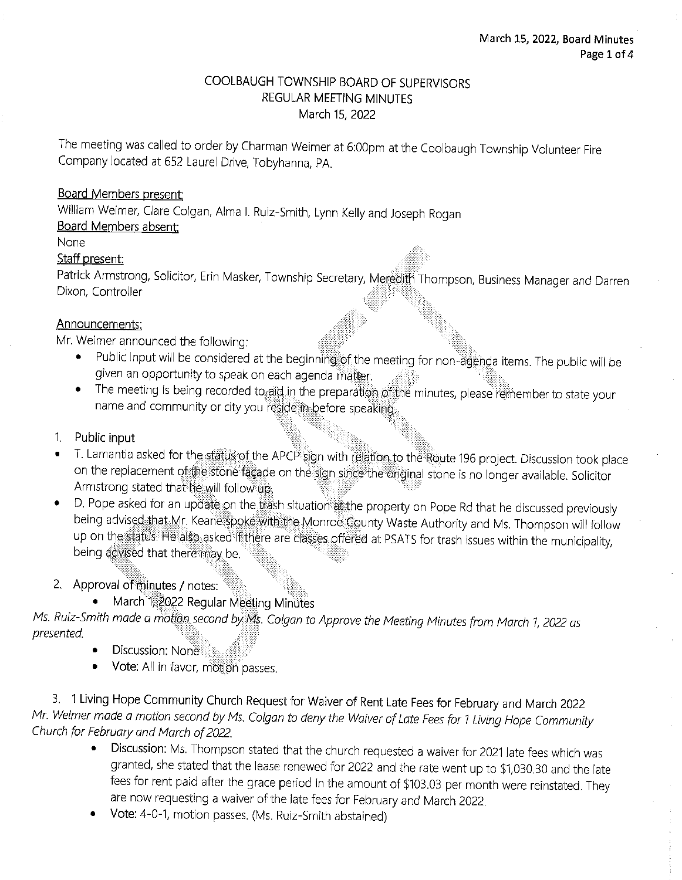## COOLBAUGH TOWNSHIP BOARD OF SUPERVISORS REGULAR MEETING MINUTES March 15, 2022

The meeting was called to order by Charman Weimer at 6:00pm at the Coolbaugh Township Volunteer Fire Company located at 652 Laurel Drive, Tobyhanna, PA.

## **Board Members present:**

William Weimer, Clare Colgan, Alma I. Ruiz-Smith, Lynn Kelly and Joseph Rogan

# Board Members absent:

None

# Staff present:

Patrick Armstrong, Solicitor, Erin Masker, Township Secretary, Meredith Thompson, Business Manager and Darren Dixon, Controller

## Announcements:

Mr. Weimer announced the following:

- . Public Input will be considered at the beginning of the meeting for non-agenda items. The public will be given an opportunity to speak on each agenda matter.
- The meeting is being recorded to aid in the preparation of the minutes, please remember to state your name and community or city you reside in before speaking.

# 1 Public input

- T. Lamantia asked for the status of the APCP sign with relation to the Route 196 project. Discussion took place on the replacement of the stone facade on the sign since the original stone is no longer available. Solicitor Armstrong stated that he will follow up.
- D. Pope asked for an update on the trash situation at the property on Pope Rd that he discussed previously being advised that Mr. Keane spoke with the Monroe County Waste Authority and Ms. Thompson will follow up on the status. He also asked if there are classes offered at PSATS for trash issues within the municipality, being advised that there may be.

# 2. Approval of minutes / notes:

# • March 1, 2022 Regular Meeting Minutes

Ms. Ruiz-Smith made a motion second by Ms. Colgan to Approve the Meeting Minutes from March 1, 2022 as presented.

- Discussion: None
- Vote: All in favor, motion passes.

3. 1 Living Hope Community Church Request for Waiver of Rent Late Fees for February and March 2022 Mr. Weimer made a motion second by Ms. Colgan to deny the Waiver of Late Fees for 1 Living Hope Community Church for February and March of 2022.

- Discussion: Ms. Thompson stated that the church requested a waiver for 2021 late fees which was  $\bullet$ granted, she stated that the lease renewed for 2022 and the rate went up to \$1,030.30 and the late fees for rent paid after the grace period in the amount of \$103.03 per month were reinstated. They are now requesting a waiver of the late fees for February and March 2022.
- Vote: 4-0-1, motion passes. (Ms. Ruiz-Smith abstained)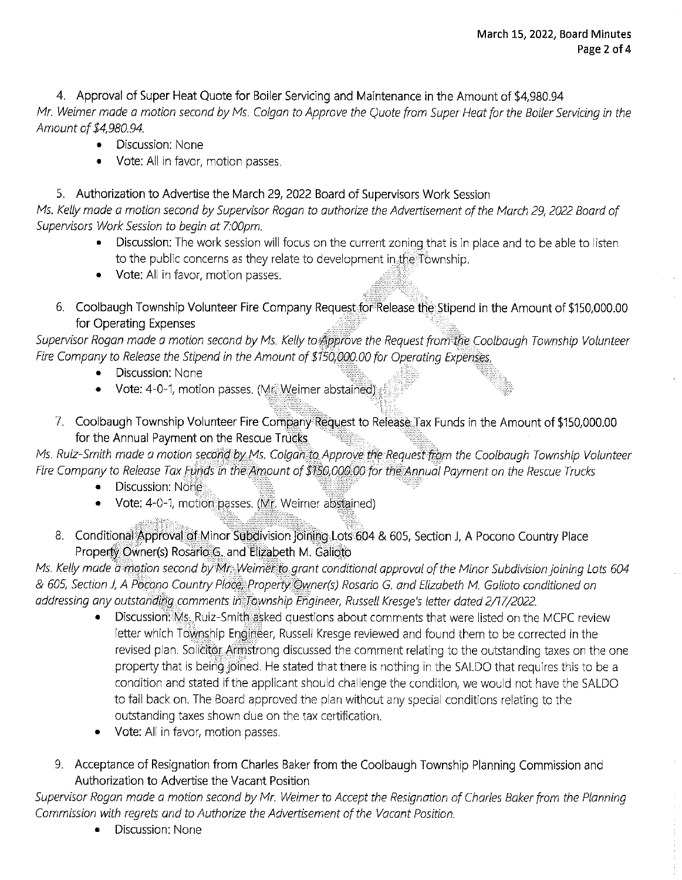4. Approval of Super Heat Quote for Boiler Servicing and Maintenance in the Amount of \$4,980.94 Mr. Weimer made a motion second by Ms. Colgan to Approve the Quote from Super Heat for the Boiler Servicing in the Amount of \$4,980.94.

- Discussion: None  $\bullet$
- Vote: All in favor, motion passes.

# 5. Authorization to Advertise the March 29, 2022 Board of Supervisors Work Session

Ms. Kelly made a motion second by Supervisor Rogan to authorize the Advertisement of the March 29, 2022 Board of Supervisors Work Session to begin at 7:00pm.

- Discussion: The work session will focus on the current zoning that is in place and to be able to listen to the public concerns as they relate to development in the lownship.
- Vote: All in favor, motion passes.
- 6. Coolbaugh Township Volunteer Fire Company Request for Release the Stipend in the Amount of \$150,000.00 for Operating Expenses

Supervisor Rogan made a motion second by Ms. Kelly to Approve the Request from the Coolbaugh Township Volunteer Fire Company to Release the Stipend in the Amount of \$150,000.00 for Operating Expenses.

- Discussion: None
- Vote: 4-0-1, motion passes. (Mt. Weimer abstained)  $\bullet$
- 7. Coolbaugh Township Volunteer Fire Company Request to Release Tax Funds in the Amount of \$150,000.00 for the Annual Payment on the Rescue Trucks

Ms. Ruiz-Smith made a motion second by Ms. Colgan to Approve the Request from the Coolbaugh Township Volunteer Fire Company to Release Tax Funds in the Amount of \$150,000.00 for the Annual Payment on the Rescue Trucks

- Discussion: None  $\bullet$
- Vote: 4-0-1, motion passes. (Mr. Weimer abstained)
- 8. Conditional Approval of Minor Subdivision joining Lots 604 & 605, Section J, A Pocono Country Place Property Owner(s) Rosario G. and Elizabeth M. Galioto

Ms. Kelly made a motion second by Mr. Weimer to grant conditional approval of the Minor Subdivision joining Lots 604 & 605, Section J, A Pocono Country Place, Property Owner(s) Rosario G. and Elizabeth M. Galioto conditioned on addressing any outstanding comments in Township Engineer, Russell Kresge's letter dated 2/17/2022.

- Discussion. Ms. Ruiz-Smith asked questions about comments that were listed on the MCPC review  $\bullet$ letter which Township Engineer, Russell Kresge reviewed and found them to be corrected in the revised plan. Solicitor Armstrong discussed the comment relating to the outstanding taxes on the one property that is being joined. He stated that there is nothing in the SALDO that requires this to be a condition and stated if the applicant should challenge the condition, we would not have the SALDO to fall back on. The Board approved the plan without any special conditions relating to the outstanding taxes shown due on the tax certification.
- Vote: All in favor, motion passes.  $\bullet$
- 9. Acceptance of Resignation from Charles Baker from the Coolbaugh Township Planning Commission and Authorization to Advertise the Vacant Position

Supervisor Rogan made a motion second by Mr. Weimer to Accept the Resignation of Charles Baker from the Planning Commission with regrets and to Authorize the Advertisement of the Vacant Position.

Discussion: None  $\bullet$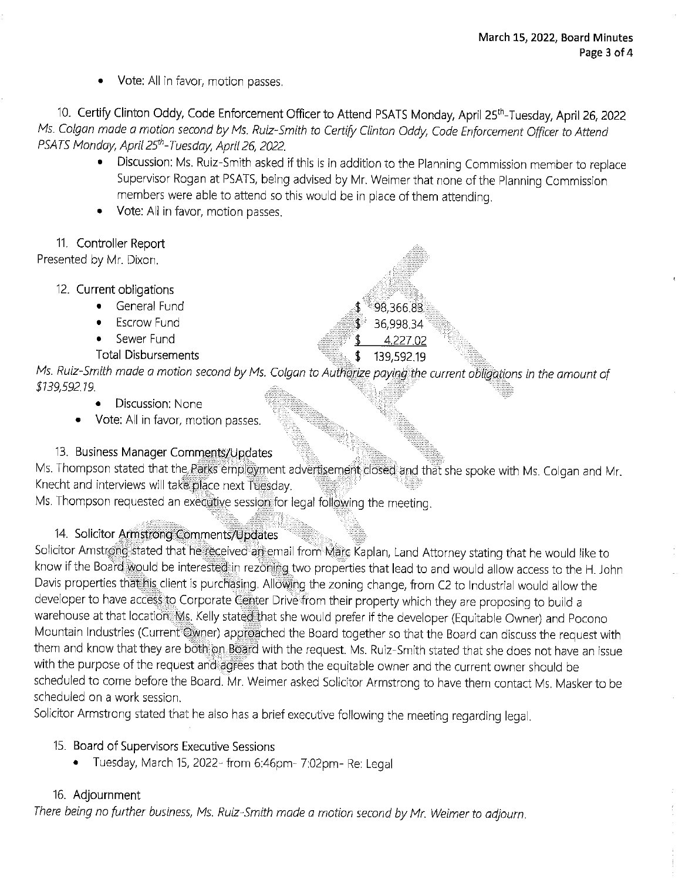Vote: All in favor, motion passes.

10. Certify Clinton Oddy, Code Enforcement Officer to Attend PSATS Monday, April 25<sup>th</sup>-Tuesday, April 26, 2022 Ms. Colgan made a motion second by Ms. Ruiz-Smith to Certify Clinton Oddy, Code Enforcement Officer to Attend PSATS Monday, April 25<sup>th</sup>-Tuesday, April 26, 2022.

- Discussion: Ms. Ruiz-Smith asked if this is in addition to the Planning Commission member to replace Supervisor Rogan at PSATS, being advised by Mr. Weimer that none of the Planning Commission members were able to attend so this would be in place of them attending.
- Vote: All in favor, motion passes.

# 11. Controller Report

Presented by Mr. Dixon.

- 12. Current obligations
	- **General Fund**
	- **Escrow Fund**
	- Sewer Fund
	- **Total Disbursements**

Ms. Ruiz-Smith made a motion second by Ms. Colgan to Authorize paying the current obligations in the amount of \$139,592.19.

- Discussion: None
- Vote: All in favor, motion passes.

# 13. Business Manager Comments/Updates

Ms. Thompson stated that the Parks employment advertisement closed and that she spoke with Ms. Colgan and Mr. Knecht and interviews will take place next Tuesday.

Ms. Thompson requested an executive session for legal following the meeting.

14. Solicitor Armstrong Comments/Updates

Solicitor Amstrong stated that he received amemail from Marc Kaplan, Land Attorney stating that he would like to know if the Board would be interested in rezoning two properties that lead to and would allow access to the H. John Davis properties that his client is purchasing. Allowing the zoning change, from C2 to Industrial would allow the developer to have access to Corporate Center Drive from their property which they are proposing to build a warehouse at that location Ms. Kelly statecthat she would prefer if the developer (Equitable Owner) and Pocono Mountain Industries (Current @wner) approached the Board together so that the Board can discuss the request with them and know that they are both on Board with the request. Ms. Ruiz-Smith stated that she does not have an issue with the purpose of the request and agrees that both the equitable owner and the current owner should be scheduled to come before the Board. Mr. Weimer asked Solicitor Armstrong to have them contact Ms. Masker to be scheduled on a work session.

Solicitor Armstrong stated that he also has a brief executive following the meeting regarding legal.

# 15. Board of Supervisors Executive Sessions

• Tuesday, March 15, 2022- from 6:46pm- 7:02pm- Re: Legal

# 16. Adjournment

There being no further business, Ms. Ruiz-Smith made a motion second by Mr. Weimer to adjourn.

- 98,366.83 36.998.34 4.227.02 139.592.19 \$
-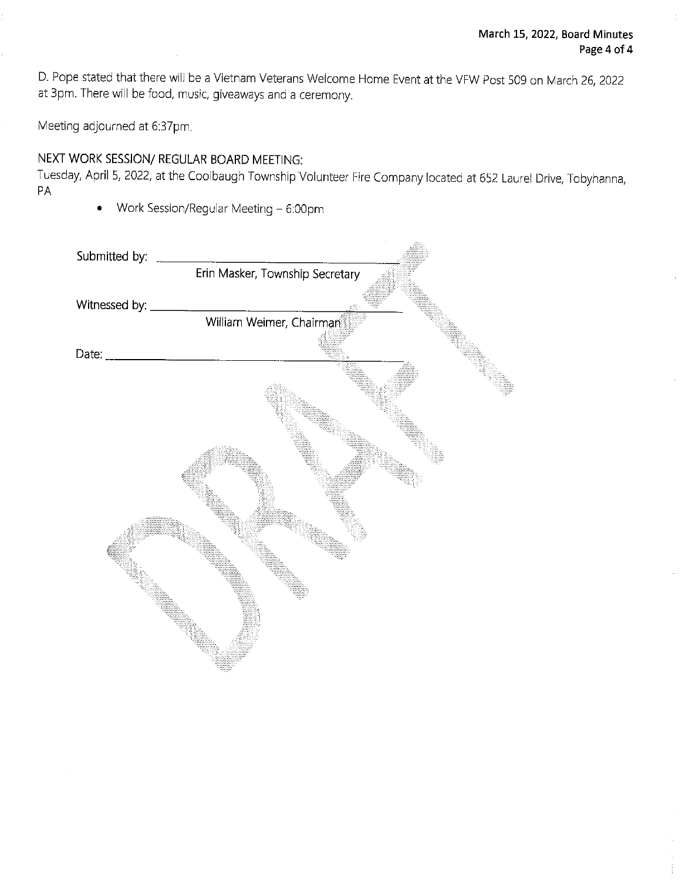D. Pope stated that there will be a Vietnam Veterans Welcome Home Event at the VFW Post 509 on March 26, 2022 at 3pm. There will be food, music, giveaways and a ceremony.

Meeting adjourned at 6:37pm.

# NEXT WORK SESSION/ REGULAR BOARD MEETING:

Tuesday, April 5, 2022, at the Coolbaugh Township Volunteer Fire Company located at 652 Laurel Drive, Tobyhanna, **PA** 

• Work Session/Regular Meeting - 6:00pm

| Submitted by:   |                                 |                          |  |  |
|-----------------|---------------------------------|--------------------------|--|--|
|                 | Erin Masker, Township Secretary |                          |  |  |
| Witnessed by: _ |                                 |                          |  |  |
|                 |                                 | William Weimer, Chairman |  |  |
|                 |                                 |                          |  |  |
|                 |                                 |                          |  |  |
|                 |                                 |                          |  |  |
|                 |                                 |                          |  |  |
|                 |                                 |                          |  |  |
|                 |                                 |                          |  |  |
|                 |                                 |                          |  |  |
|                 |                                 |                          |  |  |
|                 |                                 |                          |  |  |
|                 |                                 |                          |  |  |
|                 |                                 |                          |  |  |
|                 |                                 |                          |  |  |
|                 |                                 |                          |  |  |
|                 |                                 |                          |  |  |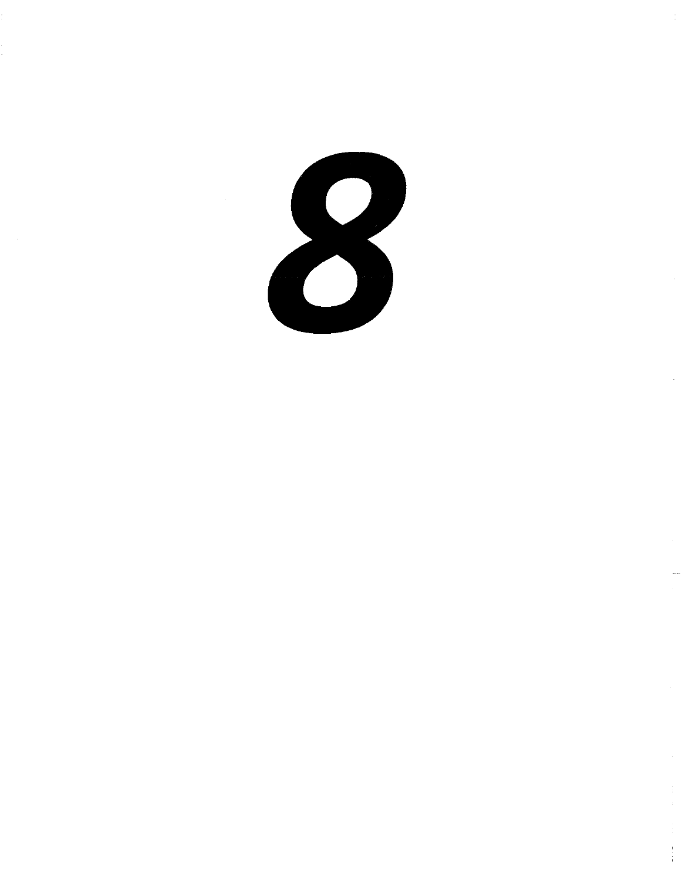

 $\frac{1}{2}$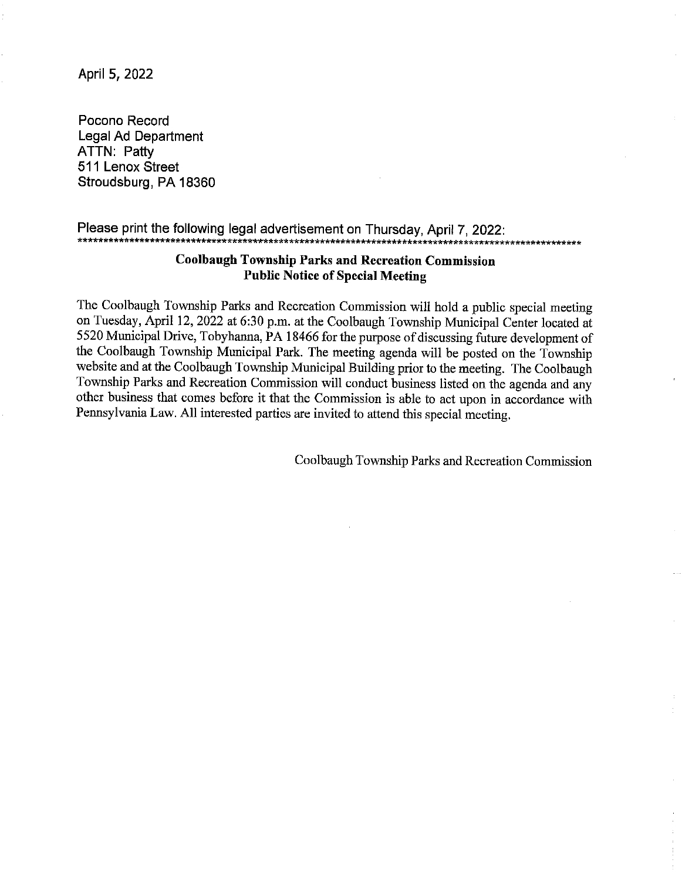April 5, 2022

Pocono Record Legal Ad Department ATTN: Patty 511 Lenox Street Stroudsburg, PA 18360

#### Please print the following legal advertisement on Thursday, April 7, 2022: \*\*\*\*\*\*\*\*\*\*\*\*\*\*\*\*

## **Coolbaugh Township Parks and Recreation Commission Public Notice of Special Meeting**

The Coolbaugh Township Parks and Recreation Commission will hold a public special meeting on Tuesday, April 12, 2022 at 6:30 p.m. at the Coolbaugh Township Municipal Center located at 5520 Municipal Drive, Tobyhanna, PA 18466 for the purpose of discussing future development of the Coolbaugh Township Municipal Park. The meeting agenda will be posted on the Township website and at the Coolbaugh Township Municipal Building prior to the meeting. The Coolbaugh Township Parks and Recreation Commission will conduct business listed on the agenda and any other business that comes before it that the Commission is able to act upon in accordance with Pennsylvania Law. All interested parties are invited to attend this special meeting.

Coolbaugh Township Parks and Recreation Commission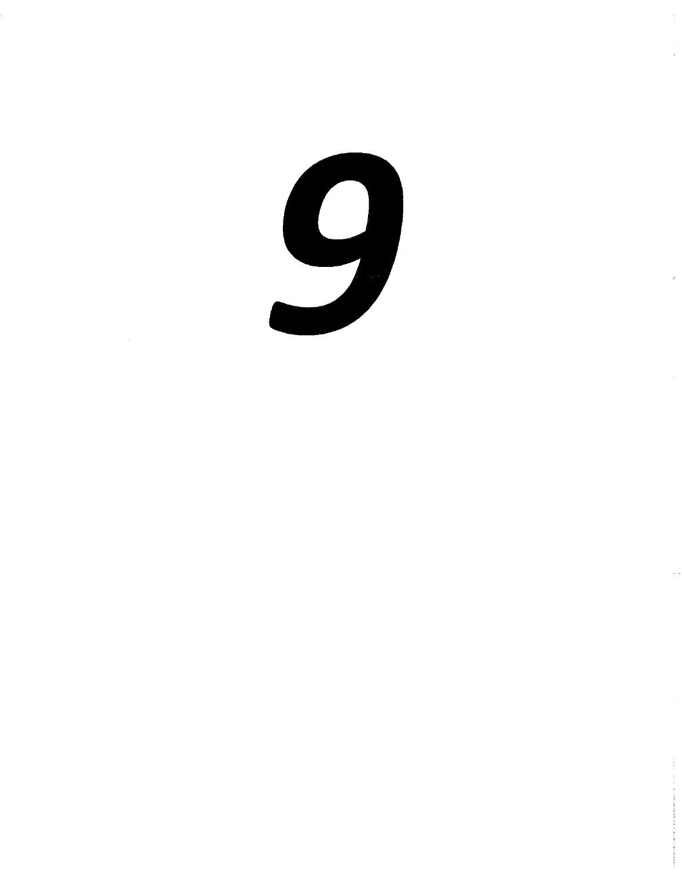

 $\frac{1}{2}$ 

 $\hat{\theta}$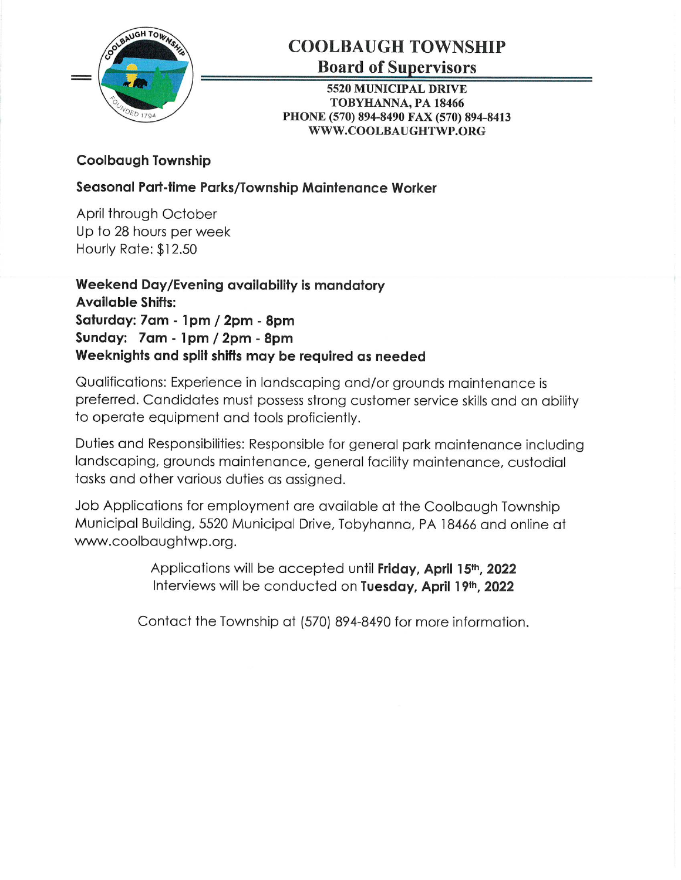

# **COOLBAUGH TOWNSHIP Board of Supervisors**

**5520 MUNICIPAL DRIVE** TOBYHANNA, PA 18466 PHONE (570) 894-8490 FAX (570) 894-8413 WWW.COOLBAUGHTWP.ORG

# **Coolbaugh Township**

# Seasonal Part-time Parks/Township Maintenance Worker

April through October Up to 28 hours per week Hourly Rate: \$12.50

Weekend Day/Evening availability is mandatory **Available Shifts:** Saturday: 7am - 1pm / 2pm - 8pm Sunday: 7am - 1pm / 2pm - 8pm Weeknights and split shifts may be required as needed

Qualifications: Experience in landscaping and/or grounds maintenance is preferred. Candidates must possess strong customer service skills and an ability to operate equipment and tools proficiently.

Duties and Responsibilities: Responsible for general park maintenance including landscaping, grounds maintenance, general facility maintenance, custodial tasks and other various duties as assigned.

Job Applications for employment are available at the Coolbaugh Township Municipal Building, 5520 Municipal Drive, Tobyhanna, PA 18466 and online at www.coolbaughtwp.org.

> Applications will be accepted until Friday, April 15th, 2022 Interviews will be conducted on Tuesday, April 19th, 2022

Contact the Township at (570) 894-8490 for more information.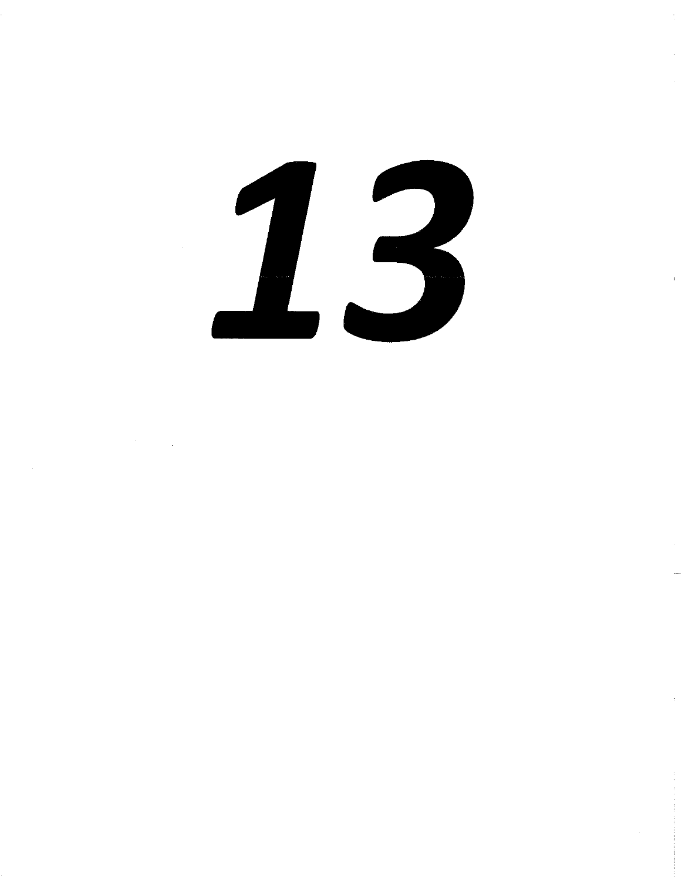

 $\sim$ 

 $\frac{1}{2}$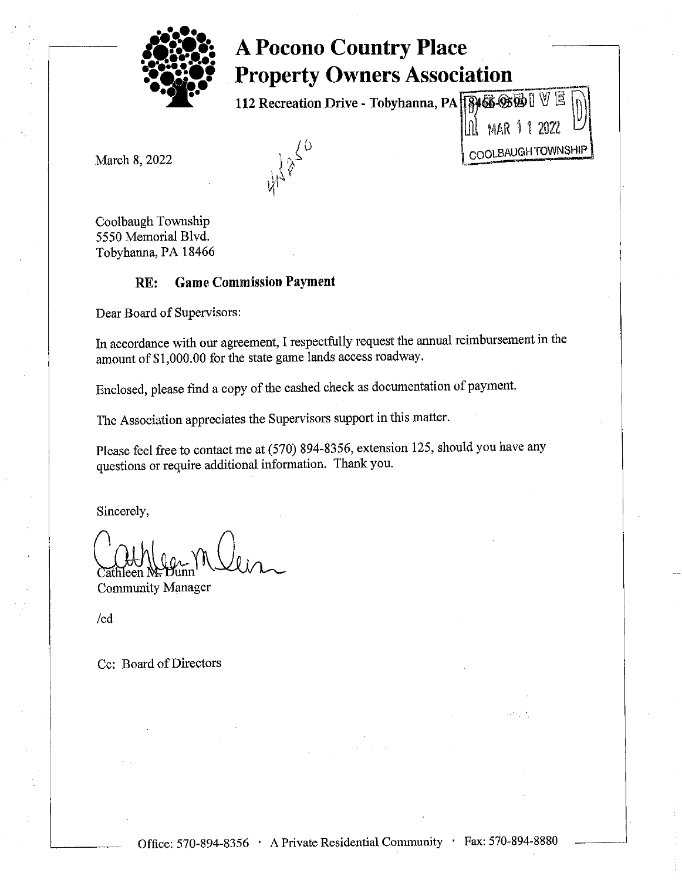

# **A Pocono Country Place Property Owners Association**

112 Recreation Drive - Tobyhanna, PA 18466-9591 V 回

MAR 1

1 2022

**COOLBAUGH TOWNSHIP** 

March 8, 2022

H1850

Coolbaugh Township 5550 Memorial Blvd. Tobyhanna, PA 18466

#### **Game Commission Payment** RE:

Dear Board of Supervisors:

In accordance with our agreement, I respectfully request the annual reimbursement in the amount of \$1,000.00 for the state game lands access roadway.

Enclosed, please find a copy of the cashed check as documentation of payment.

The Association appreciates the Supervisors support in this matter.

Please feel free to contact me at (570) 894-8356, extension 125, should you have any questions or require additional information. Thank you.

Sincerely,

**Community Manager** 

 $/cd$ 

Cc: Board of Directors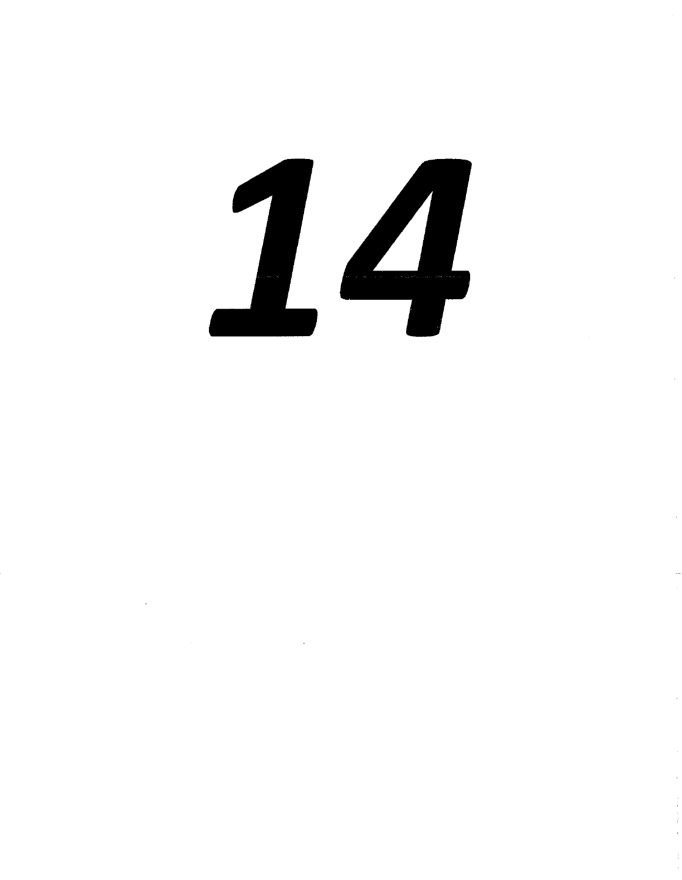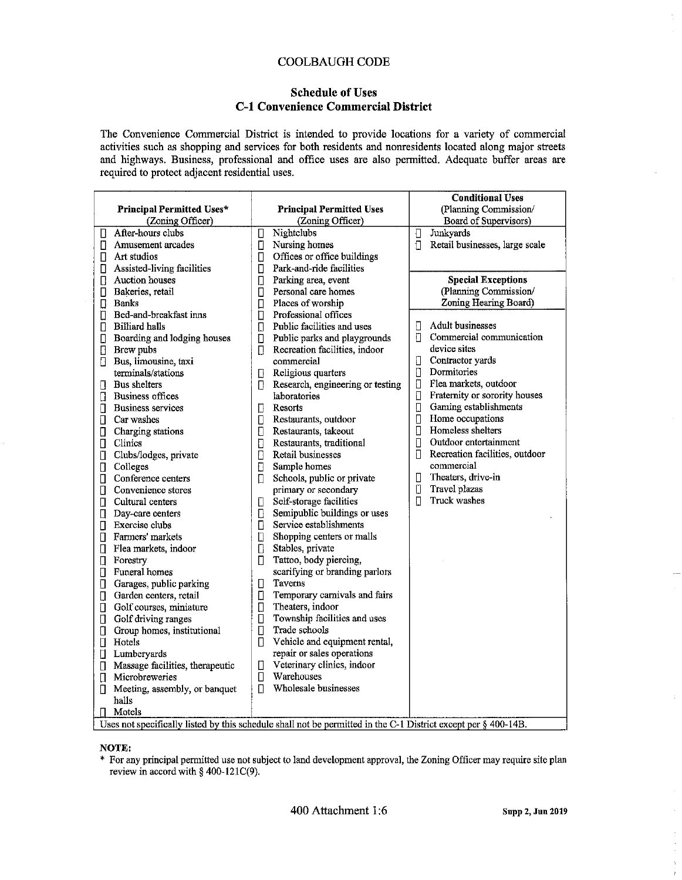## **COOLBAUGH CODE**

## **Schedule of Uses** C-1 Convenience Commercial District

The Convenience Commercial District is intended to provide locations for a variety of commercial activities such as shopping and services for both residents and nonresidents located along major streets and highways. Business, professional and office uses are also permitted. Adequate buffer areas are required to protect adjacent residential uses.

|                                           |                                                                                                                         | <b>Conditional Uses</b>             |
|-------------------------------------------|-------------------------------------------------------------------------------------------------------------------------|-------------------------------------|
| Principal Permitted Uses*                 | <b>Principal Permitted Uses</b>                                                                                         | (Planning Commission/               |
| (Zoning Officer)                          | (Zoning Officer)                                                                                                        | Board of Supervisors)               |
| After-hours clubs<br>П                    | Nightclubs<br>$\Box$                                                                                                    | Ò<br>Junkvards                      |
| Amusement arcades<br>O                    | Nursing homes<br>$\Box$                                                                                                 | Retail businesses, large scale<br>Л |
| Art studios                               | Offices or office buildings<br>$\Box$                                                                                   |                                     |
| □ Assisted-living facilities              | Park-and-ride facilities<br>О                                                                                           |                                     |
| Auction houses<br>П                       | $\Box$<br>Parking area, event                                                                                           | <b>Special Exceptions</b>           |
| Bakeries, retail<br>П                     | $\Box$<br>Personal care homes                                                                                           | (Planning Commission/               |
| Banks<br>D                                | Places of worship<br>О                                                                                                  | Zoning Hearing Board)               |
| Bed-and-breakfast inns<br>D               | Professional offices<br>$\Box$                                                                                          |                                     |
| <b>Billiard</b> halls<br>П                | Public facilities and uses<br>$\Box$                                                                                    | Adult businesses<br>П               |
| Boarding and lodging houses<br>$\Box$     | Public parks and playgrounds<br>$\Box$                                                                                  | Commercial communication<br>П       |
| Brew pubs<br>П                            | Recreation facilities, indoor<br>О                                                                                      | device sites                        |
| Bus, limousine, taxi<br>Π                 | commercial                                                                                                              | Contractor yards<br>П               |
| terminals/stations                        | Religious quarters<br>Д                                                                                                 | Dormitories<br>О                    |
| Bus shelters<br>O                         | Research, engineering or testing<br>D                                                                                   | Flea markets, outdoor<br>П          |
| Business offices<br>Π                     | laboratories                                                                                                            | Fraternity or sorority houses<br>П  |
| Business services<br>П                    | Resorts<br>$\Box$                                                                                                       | Gaming establishments<br>П          |
| Car washes<br>П                           | О<br>Restaurants, outdoor                                                                                               | Home occupations<br>П               |
| Charging stations<br>П                    | О<br>Restaurants, takeout                                                                                               | Homeless shelters<br>П              |
| Clinics<br>$\Box$                         | Restaurants, traditional<br>D                                                                                           | Outdoor entertainment<br>П          |
| Clubs/lodges, private<br>П                | Retail businesses<br>В                                                                                                  | Recreation facilities, outdoor<br>П |
| Colleges<br>$\Box$                        | $\Box$<br>Sample homes                                                                                                  | commercial                          |
| Conference centers<br>П                   | Schools, public or private<br>П                                                                                         | $\Box$<br>Theaters, drive-in        |
| Convenience stores<br>$\Box$              | primary or secondary                                                                                                    | Travel plazas<br>П                  |
| Cultural centers<br>П                     | Self-storage facilities<br>$\Box$                                                                                       | Truck washes<br>П                   |
| □ Day-care centers                        | Semipublic buildings or uses<br>В                                                                                       |                                     |
| □ Exercise clubs                          | Service establishments<br>П                                                                                             |                                     |
| Farmers' markets<br>П                     | Shopping centers or malls<br>$\Box$                                                                                     |                                     |
| □ Flea markets, indoor                    | Stables, private<br>$\Box$                                                                                              |                                     |
| Forestry<br>П.                            | Tattoo, body piercing,<br>П                                                                                             |                                     |
| Funeral homes<br>П                        | scarifying or branding parlors                                                                                          |                                     |
| Garages, public parking<br>П              | Taverns<br>Ο                                                                                                            |                                     |
| Garden centers, retail<br>$\Box$          | $\Box$<br>Temporary carnivals and fairs                                                                                 |                                     |
| Golf courses, miniature<br>П              | Theaters, indoor<br>$\Box$                                                                                              |                                     |
| П<br>Golf driving ranges                  | Township facilities and uses<br>О                                                                                       |                                     |
| Group homes, institutional<br>П           | Trade schools<br>$\Box$                                                                                                 |                                     |
| $\Box$ Hotels                             | П<br>Vehicle and equipment rental,                                                                                      |                                     |
| <b>Lumberyards</b>                        | repair or sales operations                                                                                              |                                     |
| Massage facilities, therapeutic<br>$\Box$ | Veterinary clinics, indoor<br>$\Box$                                                                                    |                                     |
| □ Microbreweries                          | $\Box$<br>Warehouses                                                                                                    |                                     |
| Meeting, assembly, or banquet<br>П        | Wholesale businesses<br>П                                                                                               |                                     |
| halls                                     |                                                                                                                         |                                     |
| Motels                                    |                                                                                                                         |                                     |
|                                           | Uses not specifically listed by this schedule shall not be permitted in the $C-1$ District except per $\delta$ 400-14B. |                                     |

## NOTE:

\* For any principal permitted use not subject to land development approval, the Zoning Officer may require site plan review in accord with § 400-121C(9).

 $\ddot{ }$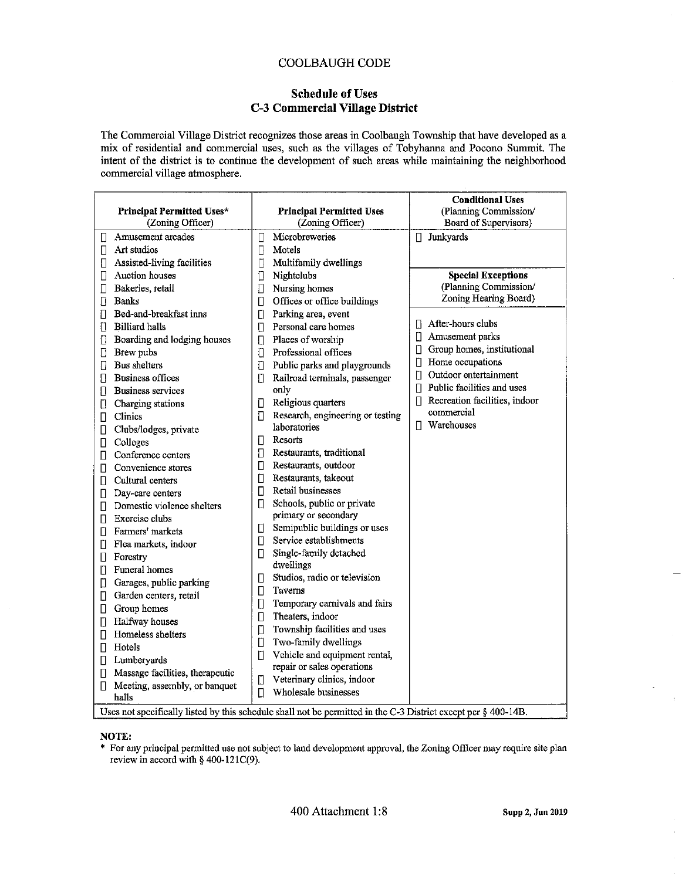## **COOLBAUGH CODE**

## **Schedule of Uses C-3 Commercial Village District**

The Commercial Village District recognizes those areas in Coolbaugh Township that have developed as a mix of residential and commercial uses, such as the villages of Tobyhanna and Pocono Summit. The intent of the district is to continue the development of such areas while maintaining the neighborhood commercial village atmosphere.

|                                      |                                                                                                                | <b>Conditional Uses</b>            |
|--------------------------------------|----------------------------------------------------------------------------------------------------------------|------------------------------------|
| <b>Principal Permitted Uses*</b>     | <b>Principal Permitted Uses</b>                                                                                | (Planning Commission/              |
| (Zoning Officer)                     | (Zoning Officer)                                                                                               | Board of Supervisors)              |
| □ Amusement arcades                  | Microbreweries<br>О                                                                                            | Junkyards<br>п                     |
| Art studios                          | $\Box$<br>Motels                                                                                               |                                    |
| Assisted-living facilities<br>П      | $\Box$<br>Multifamily dwellings                                                                                |                                    |
| Auction houses<br>П                  | Nightclubs<br>О                                                                                                | <b>Special Exceptions</b>          |
| Bakeries, retail<br>Ц                | Nursing homes<br>$\Box$                                                                                        | (Planning Commission/              |
| <b>Banks</b><br>Ο                    | Offices or office buildings<br>O                                                                               | Zoning Hearing Board)              |
| Bed-and-breakfast inns<br>П          | Parking area, event<br>Ο                                                                                       |                                    |
| <b>Billiard halls</b><br>O           | Personal care homes<br>$\Box$                                                                                  | After-hours clubs<br>П             |
| Boarding and lodging houses<br>Ω     | Places of worship<br>$\Box$                                                                                    | Amusement parks<br>П               |
| Brew pubs<br>Ο                       | Professional offices<br>$\Box$                                                                                 | Group homes, institutional<br>П    |
| Bus shelters<br>П                    | Public parks and playgrounds<br>О                                                                              | Home occupations                   |
| <b>Business offices</b><br>П         | Railroad terminals, passenger<br>$\Box$                                                                        | Outdoor entertainment<br>П         |
| <b>Business services</b><br>О        | only                                                                                                           | Public facilities and uses<br>П    |
| Charging stations<br>Д               | Religious quarters<br>О                                                                                        | Recreation facilities, indoor<br>П |
| <b>Clinics</b><br>Π                  | Research, engineering or testing<br>П                                                                          | commercial                         |
| Clubs/lodges, private<br>Π           | laboratories                                                                                                   | $\Box$ Warehouses                  |
| Colleges<br>П                        | Resorts<br>П                                                                                                   |                                    |
| Conference centers<br>П              | Restaurants, traditional<br>Д                                                                                  |                                    |
| Convenience stores<br>П              | Restaurants, outdoor<br>П                                                                                      |                                    |
| Cultural centers<br>П                | Restaurants, takeout<br>Π                                                                                      |                                    |
| Day-care centers<br>П                | Retail businesses<br>Ω                                                                                         |                                    |
| Domestic violence shelters<br>П      | Schools, public or private<br>Π                                                                                |                                    |
| Exercise clubs<br>0                  | primary or secondary                                                                                           |                                    |
| Farmers' markets<br>Π                | Semipublic buildings or uses<br>П                                                                              |                                    |
| Flea markets, indoor<br>▯            | Service establishments<br>Π                                                                                    |                                    |
| Forestry<br>П                        | Single-family detached<br>П                                                                                    |                                    |
| Funeral homes<br>Π                   | dwellings                                                                                                      |                                    |
| Garages, public parking<br>Π         | Studios, radio or television<br>О<br>Taverns                                                                   |                                    |
| Garden centers, retail<br>Ц          | $\Box$                                                                                                         |                                    |
| Group homes<br>П                     | $\Box$<br>Temporary carnivals and fairs                                                                        |                                    |
| Halfway houses                       | Theaters, indoor<br>О                                                                                          |                                    |
| Homeless shelters<br>Н               | Township facilities and uses<br>$\Box$                                                                         |                                    |
| Hotels<br>П                          | Two-family dwellings<br>$\Box$                                                                                 |                                    |
| [] Lumberyards                       | Vehicle and equipment rental,<br>$\Box$                                                                        |                                    |
| Massage facilities, therapeutic<br>П | repair or sales operations                                                                                     |                                    |
| Meeting, assembly, or banquet<br>Ш   | Veterinary clinics, indoor<br>Ο<br>Wholesale businesses                                                        |                                    |
| halls                                | п                                                                                                              |                                    |
|                                      | Uses not specifically listed by this schedule shall not be permitted in the C-3 District except per § 400-14B. |                                    |

### **NOTE:**

\* For any principal permitted use not subject to land development approval, the Zoning Officer may require site plan review in accord with  $\S$  400-121C(9).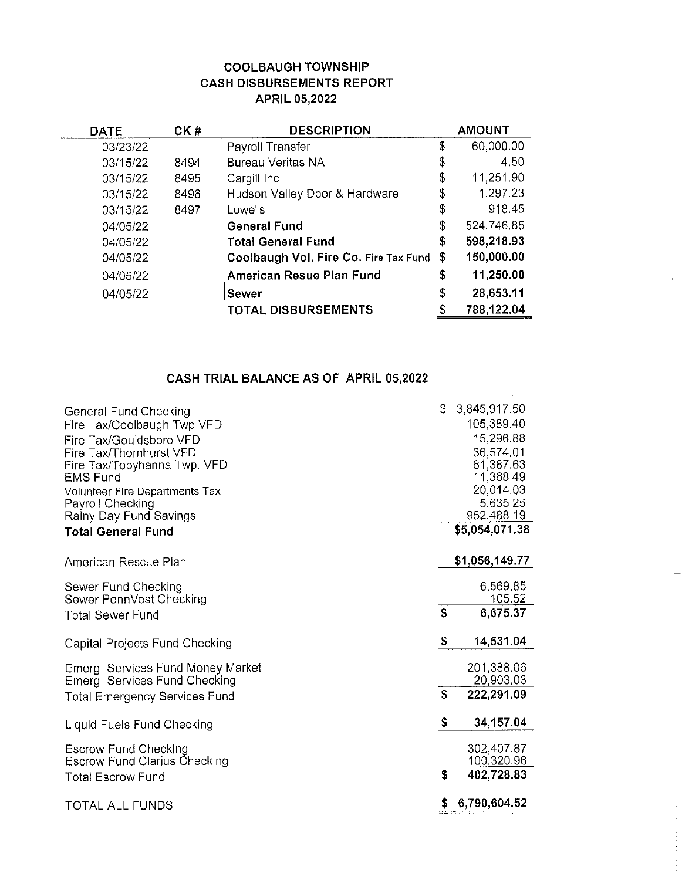# **COOLBAUGH TOWNSHIP CASH DISBURSEMENTS REPORT APRIL 05,2022**

| <b>DATE</b> | CK#  | <b>DESCRIPTION</b>                    | <b>AMOUNT</b>    |
|-------------|------|---------------------------------------|------------------|
| 03/23/22    |      | Payroll Transfer                      | \$<br>60,000.00  |
| 03/15/22    | 8494 | <b>Bureau Veritas NA</b>              | \$<br>4.50       |
| 03/15/22    | 8495 | Cargill Inc.                          | \$<br>11,251.90  |
| 03/15/22    | 8496 | Hudson Valley Door & Hardware         | \$<br>1,297.23   |
| 03/15/22    | 8497 | Lowe"s                                | \$<br>918.45     |
| 04/05/22    |      | <b>General Fund</b>                   | \$<br>524,746.85 |
| 04/05/22    |      | <b>Total General Fund</b>             | \$<br>598,218.93 |
| 04/05/22    |      | Coolbaugh Vol. Fire Co. Fire Tax Fund | \$<br>150,000.00 |
| 04/05/22    |      | American Resue Plan Fund              | \$<br>11,250.00  |
| 04/05/22    |      | Sewer                                 | \$<br>28,653.11  |
|             |      | <b>TOTAL DISBURSEMENTS</b>            | 788,122.04       |

# CASH TRIAL BALANCE AS OF APRIL 05,2022

| \$<br>3,845,917.50                               |
|--------------------------------------------------|
| 105,389.40                                       |
| 15,296.88                                        |
| 36,574.01                                        |
| 61,387.63                                        |
| 11,368.49                                        |
| 20,014.03                                        |
| 5,635.25                                         |
| 952,488.19                                       |
| \$5,054,071.38                                   |
|                                                  |
| \$1,056,149.77                                   |
| 6,569.85                                         |
| 105.52                                           |
| 6,675.37                                         |
|                                                  |
| \$<br>14,531.04                                  |
|                                                  |
| 201,388.06                                       |
| 20,903.03                                        |
| 222,291.09                                       |
| \$<br>34,157.04                                  |
|                                                  |
| 302,407.87                                       |
| 100,320.96                                       |
| 402,728.83                                       |
| \$<br>6,790,604.52                               |
| \$<br>$\mathbf{\$}$<br>$\boldsymbol{\mathsf{s}}$ |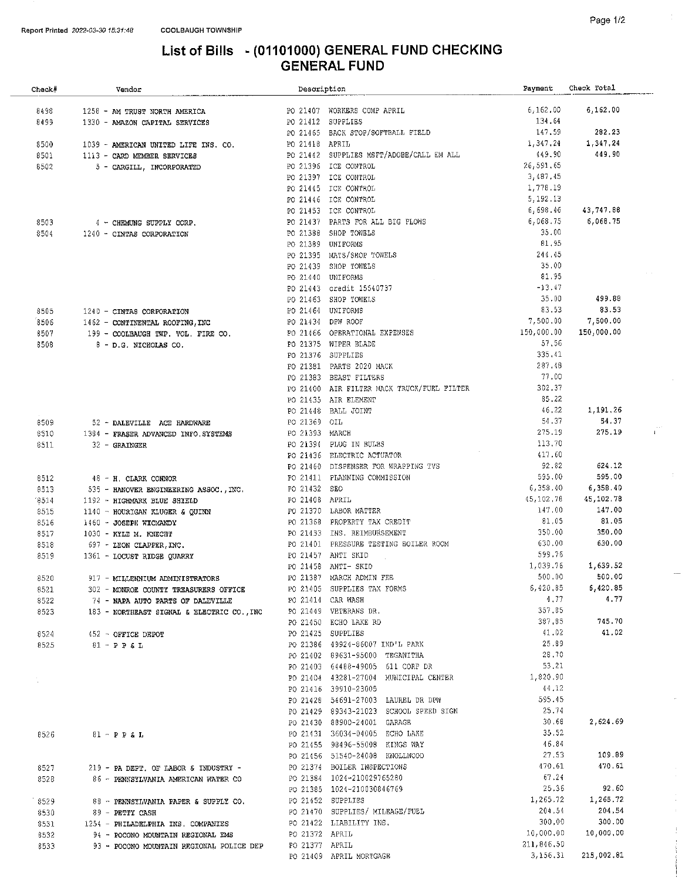## **COOLBAUGH TOWNSHIP**

# List of Bills - (01101000) GENERAL FUND CHECKING<br>GENERAL FUND

| Check# | Vendor                                     | Description       |                                                             | Payment         | Check Total     |
|--------|--------------------------------------------|-------------------|-------------------------------------------------------------|-----------------|-----------------|
| 8498   | 1258 - AM TRUST NORTH AMERICA              |                   | PO 21407 WORKERS COMP APRIL                                 | 6,162.00        | 6, 162, 00      |
| 8499   | 1330 - AMAZON CAPITAL SERVICES             | PO 21412 SUPPLIES |                                                             | 134.64          |                 |
|        |                                            |                   | PO 21465 BACK STOP/SOFTBALL FIELD                           | 147,59          | 282.23          |
| 8500   | 1039 - AMERICAN UNITED LIFE INS. CO.       | PO 21418 APRIL    |                                                             | 1,347.24        | 1.347.24        |
| 8501   | 1113 - CARD MEMBER SERVICES                | PO 21442          | SUPPLIES MSFT/ADOBE/CALL EM ALL                             | 449.90          | 449.90          |
| 8502   | 5 - CARGILL, INCORPORATED                  |                   | PO 21396 ICE CONTROL                                        | 26,591.65       |                 |
|        |                                            |                   | PO 21397 ICE CONTROL                                        | 3,487.45        |                 |
|        |                                            |                   | PO 21445 ICE CONTROL                                        | 1,778.19        |                 |
|        |                                            |                   | PO 21446 ICE CONTROL                                        | 5, 192.13       |                 |
|        |                                            |                   | PO 21453 ICE CONTROL                                        | 6,698.46        | 43,747.88       |
| 8503   | 4 - CHEMUNG SUPPLY CORP.                   | PO 21437          | PARTS FOR ALL BIG PLOWS                                     | 6,068.75        | 6,068.75        |
| 8504   | 1240 - CINTAS CORPORATION                  | PO 21388          | SHOP TOWELS                                                 | 35.00           |                 |
|        |                                            | PO 21389 UNIFORMS |                                                             | 81,95           |                 |
|        |                                            |                   | PO 21395 MATS/SHOP TOWELS                                   | 244.45          |                 |
|        |                                            | PO 21439          | SHOP TOWELS                                                 | 35.00           |                 |
|        |                                            | PO 21440 UNIFORMS |                                                             | 81.95           |                 |
|        |                                            |                   | PO 21443 credit 15540737                                    | $-13.47$        |                 |
|        |                                            | PO 21463          | SHOP TOWELS                                                 | 35.00           | 499.88          |
| 8505   | 1240 - CINTAS CORPORATION                  | PO 21464 UNIFORMS |                                                             | 83.53           | 83.53           |
| 8506   | 1462 - CONTINENTAL ROOFING, INC            | PO 21434          | DPW ROOF                                                    | 7,500.00        | 7,500.00        |
| 8507   | 199 - COOLBAUGH TWP, VOL, FIRE CO.         |                   | PO 21466 OPERATIONAL EXPENSES                               | 150,000,00      | 150,000.00      |
| 8508   | 8 - D.G. NICHOLAS CO.                      |                   | PO 21375 WIPER BLADE                                        | 57.56           |                 |
|        |                                            | PO 21376          | SUPPLIES                                                    | 335.41          |                 |
|        |                                            | PO 21381          | PARTS 2020 MACK                                             | 287.48          |                 |
|        |                                            |                   | PO 21383 BEAST FILTERS                                      | 77.00           |                 |
|        |                                            |                   | PO 21400 AIR FILTER MACK TRUCK/FUEL FILTER                  | 302.37          |                 |
|        |                                            |                   | PO 21435 AIR ELEMENT                                        | 85.22           |                 |
|        |                                            |                   | PO 21448 BALL JOINT                                         | 46.22           | 1,191.26        |
| 8509   | 52 - DALEVILLE ACE HARDWARE                | PO 21369          | OIL                                                         | 54.37           | 54.37           |
| 8510   | 1384 - FRASER ADVANCED INFO, SYSTEMS       | PO 21393 MARCH    |                                                             | 275.19          | 275.19          |
| 8511   | 32 - GRAINGER                              |                   | PO 21394 PLUG IN BULBS                                      | 113.70          |                 |
|        |                                            |                   | PO 21436 ELECTRIC ACTUATOR                                  | 417.60          |                 |
|        |                                            | PO 21460          | DISPENSER FOR WRAPPING TVS                                  | 92.82           | 624.12          |
| 8512   | 48 - H. CLARK CONNOR                       |                   | PO 21411 PLANNING COMMISSION                                | 595.00          | 595.00          |
| 8513   | 535 - HANOVER ENGINEERING ASSOC., INC.     | PO 21432          | <b>SEO</b>                                                  | 6,358.40        | 6,358.40        |
| 18514  | 1192 - HIGHMARK BLUE SHIELD                | PO 21408 APRIL    |                                                             | 45,102.78       | 45,102.78       |
| 8515   | 1140 - HOURIGAN KLUGER & QUINN             |                   | PO 21370 LABOR MATTER                                       | 147,00          | 147.00<br>81.05 |
| 8516   | 1460 - JOSEPH WICMANDY                     | PO 21368          | PROPERTY TAX CREDIT                                         | 81.05<br>350.00 | 350,00          |
| 8517   | 1030 - KYLE M. KNECHT                      | PO 21433          | INS, REIMBURSEMENT                                          | 630.00          | 630,00          |
| 8518   | 697 - LEON CLAPPER, INC.                   |                   | PO 21401 PRESSURE TESTING BOILER ROOM<br>PO 21457 ANTI SKID | 599.76          |                 |
| 8519   | 1361 - LOCUST RIDGE QUARRY                 |                   | PO 21458 ANTI- SKID                                         | 1,039.76        | 1,639.52        |
| 8520   | 917 - MILLENNIUM ADMINISTRATORS            |                   | PO 21387 MARCH ADMIN FEE                                    | 500.00          | 500.00          |
| 8521   | 302 - MONROE COUNTY TREASURERS OFFICE      |                   | PO 21405 SUPPLIES TAX FORMS                                 | 6,420.85        | 6,420.85        |
| 8522   | 74 - NAPA AUTO PARTS OF DALEVILLE          |                   | PO 21414 CAR WASH                                           | 4,77            | 4.77            |
| 8523   | 183 - NORTHEAST SIGNAL & ELECTRIC CO., INC |                   | PO 21449 VETERANS DR.                                       | 357.85          |                 |
|        |                                            |                   | PO 21450 ECHO LAKE RD                                       | 387,85          | 745 70          |
| 8524   | $452 -$ OFFICE DEPOT                       |                   | PO 21425 SUPPLIES                                           | 41.02           | 41.02           |
| 8525   | $81 - P P S L$                             |                   | PO 21386 49924-86007 IND'L PARK                             | 25.89           |                 |
|        |                                            |                   | PO 21402 89631-95000 TEGAWITHA                              | 28,70           |                 |
|        |                                            |                   | PO 21403 64488-49005 611 CORP DR                            | 53.21           |                 |
|        |                                            |                   | PO 21404 43281-27004 MUNICIPAL CENTER                       | 1,820.90        |                 |
|        |                                            |                   | PQ 21416 39910-23005                                        | 44.12           |                 |
|        |                                            |                   | PO 21428 54691-27003 LAUREL DR DPW                          | 595.45          |                 |
|        |                                            |                   | PO 21429 89343-21023 SCHOOL SPEED SIGN                      | 25.74           |                 |
|        |                                            |                   | PO 21430 88900-24001 GARAGE                                 | 30.68           | 2,624.69        |
| 8526   | $81 - P P S L$                             |                   | PO 21431 36034-04005 ECHO LAKE                              | 35.52           |                 |
|        |                                            |                   | PO 21455 98496-55008 KINGS WAY                              | 46.84           |                 |
|        |                                            |                   | PO 21456 51540-24008 KNOLLWOOD                              | 27,53           | 109.89          |
| 8527   | 219 - PA DEPT. OF LABOR & INDUSTRY -       |                   | PO 21374 BOILER INSPECTIONS                                 | 470.61          | 470.61          |
| 8528   | 86 - PENNSYLVANIA AMERICAN WATER CO        |                   | PO 21384 1024-210029765280                                  | 67,24           |                 |
|        |                                            |                   | PO 21385 1024-210030846769                                  | 25,36           | 92.60           |
| 8529   | 88 - PENNSYLVANIA PAPER & SUPPLY CO.       |                   | PO 21452 SUPPLIES                                           | 1,265.72        | 1,265.72        |
| 8530   | 89 - PETTY CASH                            |                   | PO 21470 SUPPLIES/ MILEAGE/FUEL                             | 204,54          | 204,54          |
| 8531   | 1254 - PHILADELPHIA INS, COMPANIES         |                   | PO 21422 LIABILITY INS.                                     | 300,00          | 300.00          |
| 8532   | 94 - POCONO MOUNTAIN REGIONAL EMS          | PO 21372 APRIL    |                                                             | 10,000.00       | 10,000,00       |
| 8533   | 93 - POCONO MOUNTAIN REGIONAL POLICE DEP   | PO 21377 APRIL    |                                                             | 211,846,50      |                 |
|        |                                            |                   | PO 21409 APRIL MORTGAGE                                     | 3,156.31        | 215,002.81      |

 $\overline{\phantom{a}}$ 

Ĵ,

đ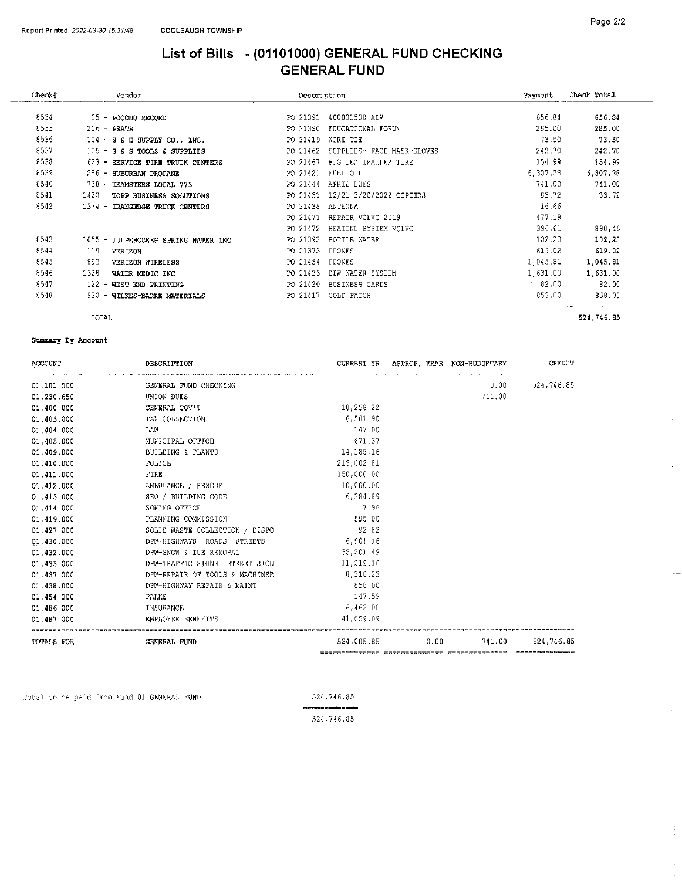# List of Bills - (01101000) GENERAL FUND CHECKING **GENERAL FUND**

| Check# | Vendor                              | Description |                            | Payment    | Check Total |
|--------|-------------------------------------|-------------|----------------------------|------------|-------------|
| 8534   | 95 - POCONO RECORD                  | PO 21391    | 400001500 ADV              | 656.84     | 656.84      |
| 8535   | $206 - PSAYS$                       | PO 21390    | EDUCATIONAL FORUM          | 285.00     | 285,00      |
| 8536   | $104 - S$ & H SUPPLY CO, INC.       | PO 21419    | WIRE TIE                   | 73.50      | 73.50       |
| 8537   | $105 - S S S$ TOOLS & SUPPLIES      | PO 21462    | SUPPLIES- FACE MASK-GLOVES | 242.70     | 242.70      |
| 8538   | 623 - SERVICE TIRE TRUCK CENTERS    | PO 21467    | BIG TEX TRAILER TIRE       | 154.99     | 154.99      |
| 8539   | $286 -$<br>SUBURBAN PROPANE         | PO 21421    | FUEL OIL                   | 6, 307, 28 | 6,307,28    |
| 8540   | 738 - TEAMSTERS LOCAL 773           | PO 21444    | APRIL DUES                 | 741.00     | 741.00      |
| 8541   | 1420 - TOPP BUSINESS SOLUTIONS      | PO 21451    | 12/21-3/20/2022 COPIERS    | 83.72      | 83.72       |
| 8542   | 1374 - TRANSEDGE TRUCK CENTERS      | PO 21438    | ANTENNA                    | 16.66      |             |
|        |                                     | PO 21471    | REPAIR VOLVO 2019          | 477 19     |             |
|        |                                     | PO 21472    | HEATING SYSTEM VOLVO       | 396 61     | 890.46      |
| 8543   | 1055 - TULPEHOCKEN SPRING WATER INC | PO 21392    | BOTTLE WATER               | 102.23     | 102.23      |
| 8544   | 119 - VERIZON                       | PO 21373    | PHONES                     | 619.02     | 619.02      |
| 8545   | 892 - VERIZON WIRELESS              | PO 21454    | PHONES                     | 1,045.81   | 1.045.81    |
| 8546   | 1328 - WATER MEDIC INC              | PO 21423    | DPW WATER SYSTEM           | 1,631.00   | 1,631,00    |
| 8547   | 122 - WEST END PRINTING             | PO 21420    | <b>BUSINESS CARDS</b>      | 82.00      | 82.00       |
| 8548   | 930 - WILKES-BARRE MATERIALS        | PO 21417    | COLD PATCH                 | 858.00     | 858.00      |
|        |                                     |             |                            |            |             |

 $_{\tt TOTAL}$ 

### Summary By Account

| ACCOUNT           | DESCRIPTION                                 |             | CURRENT YR APPROP, YEAR NON-BUDGETARY |                | CREDIT     |
|-------------------|---------------------------------------------|-------------|---------------------------------------|----------------|------------|
| 01,101,000        | GENERAL FUND CHECKING                       |             |                                       | $0.00 -$       | 524,746,85 |
| 01.230.650        | UNION DUES                                  |             |                                       | 741,00         |            |
| 01,400,000        | GENERAL GOV'T                               | 10.258.22   |                                       |                |            |
| 01,403,000        | TAX COLLECTION                              | 6,501,90    |                                       |                |            |
| 01.404.000        | LAW                                         | 147.00      |                                       |                |            |
| 01.405.000        | MUNICIPAL OFFICE                            | 671.37      |                                       |                |            |
| 01.409.000        | <b>BUILDING &amp; PLANTS</b>                | 14.185.16   |                                       |                |            |
| 01,410,000        | POLICE                                      | 215,002,81  |                                       |                |            |
| 01,411,000        | FIRE                                        | 150,000.00  |                                       |                |            |
| 01,412,000        | AMBULANCE / RESCUE                          | 10,000.00   |                                       |                |            |
| 01.413.000        | SEO / BUILDING CODE                         | 6,384.89    |                                       |                |            |
| 01.414.000        | ZONING OFFICE                               | 7.96        |                                       |                |            |
| 01.419.000        | PLANNING COMMISSION                         | 595.00      |                                       |                |            |
| 01.427.000        | SOLID WASTE COLLECTION / DISPO              | 92.82       |                                       |                |            |
| 01,430,000        | DPW-HIGHWAYS ROADS STREETS                  | 6,901.16    |                                       |                |            |
| 01.432.000        | DPW-SNOW & ICE REMOVAL<br><b>Contractor</b> | 35, 201.49  |                                       |                |            |
| 01.433.000        | DPW-TRAFFIC SIGNS STREET SIGN               | 11, 219, 16 |                                       |                |            |
| 01.437.000        | DPW-REPAIR OF TOOLS & MACHINER              | 8, 310, 23  |                                       |                |            |
| 01.438.000        | DPW-HIGHWAY REPAIR & MAINT                  | 858.00      |                                       |                |            |
| 01.454.000        | PARKS                                       | 147.59      |                                       |                |            |
| 01,486,000        | INSURANCE                                   | 6.462,00    |                                       |                |            |
| 01,487,000        | EMPLOYEE BENEFITS                           | 41,059.09   |                                       |                |            |
| <b>TOTALS FOR</b> | GENERAL FUND                                | 524,005.85  |                                       | 741.00<br>0.00 | 524,746.85 |
|                   |                                             |             |                                       |                |            |

Total to be paid from Fund 01 GENERAL FUND

 $\mathcal{A}^{\mathcal{A}}$ 

 $\gamma_{\rm{c}}$ 

524,746.85 0050000000000 524,746.85

Page 2/2

524,746.85

 $\bar{z}$ 

 $\langle \hat{A} \rangle$ 

 $\hat{\boldsymbol{\beta}}$ 

 $\hat{\boldsymbol{\beta}}$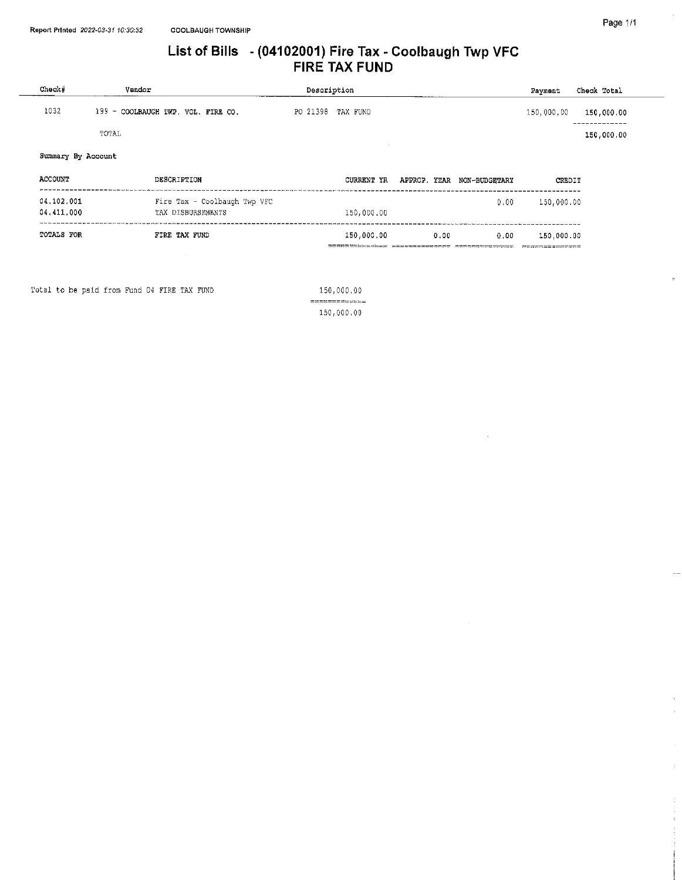# List of Bills - (04102001) Fire Tax - Coolbaugh Twp VFC<br>FIRE TAX FUND

| Check              | Vendor                             | Description                                 | Check Total<br>Payment   |
|--------------------|------------------------------------|---------------------------------------------|--------------------------|
| 1032               | 199 - COOLBAUGH TWP, VOL. FIRE CO. | PO 21398 TAX FUND                           | 150,000,00<br>150,000.00 |
|                    | TOTAL                              |                                             | 150,000,00               |
| Summary By Account |                                    |                                             |                          |
| <b>ACCOUNT</b>     | DESCRIPTION                        | CURRENT YR<br>APPROP. YEAR<br>NON-BUDGETARY | CREDIT                   |
| 04.102.001         | Fire Tax - Coolbaugh Twp VFC       | 0.00                                        | 150,000.00               |

| 04.411.000 | TAX DISBURSEMENTS | 150,000,00 |                                          | .    | - - - - - - - - - - -      |
|------------|-------------------|------------|------------------------------------------|------|----------------------------|
| TOTALS FOR | FIRE TAX FUND     | 150,000,00 | 0.00                                     | 0.00 | 150,000.00                 |
|            |                   |            | 358#52%W&esbee ebscopperance ssscoopwwww |      | <b>2000-00-00-00-00-00</b> |

Total to be paid from Fund 04 FIRE TAX FUND

 $\sim$   $\sim$ 

 $150,000,00$ =============  $150,000,00$ 

 $\bar{z}$ 

 $\frac{1}{2}$ 

 $\bar{p}$ 

 $\bar{\beta}$  $\bar{\beta}$ 

 $\frac{1}{2}$  $\frac{1}{3}$  $\frac{1}{4}$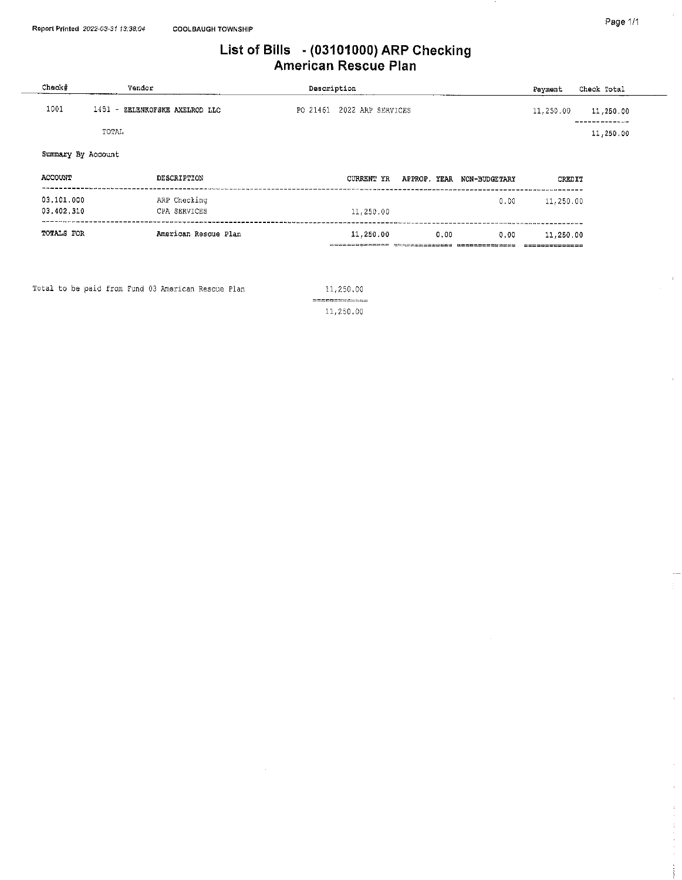# List of Bills - (03101000) ARP Checking<br>American Rescue Plan

| Check#                              | Vendor                         | Description |                   |                            | Payment   | Check Total |
|-------------------------------------|--------------------------------|-------------|-------------------|----------------------------|-----------|-------------|
| 1001                                | 1451 - ZELENKOFSKE AXELROD LLC | PO 21461    | 2022 ARP SERVICES |                            | 11,250,00 | 11,250.00   |
|                                     | TOTAL                          |             |                   |                            |           | 11,250.00   |
| Summary By Account                  |                                |             |                   |                            |           |             |
|                                     |                                |             |                   |                            |           |             |
|                                     | DESCRIPTION                    |             | <b>CURRENT YR</b> | APPROP. YEAR NON-BUDGETARY | CREDIT    |             |
| ACCOUNT<br>03,101,000<br>03.402.310 | ARP Checking<br>CPA SERVICES   |             | 11,250,00         | 0.00                       | 11,250,00 |             |

Total to be paid from Fund 03 American Rescue Plan

11,250.00 =============  $11, 250.00$ 

 $\sim$  1.

 $\bar{z}$ 

 $\ddotsc$ 

 $\hat{\boldsymbol{\theta}}$ 

 $\frac{1}{2}$